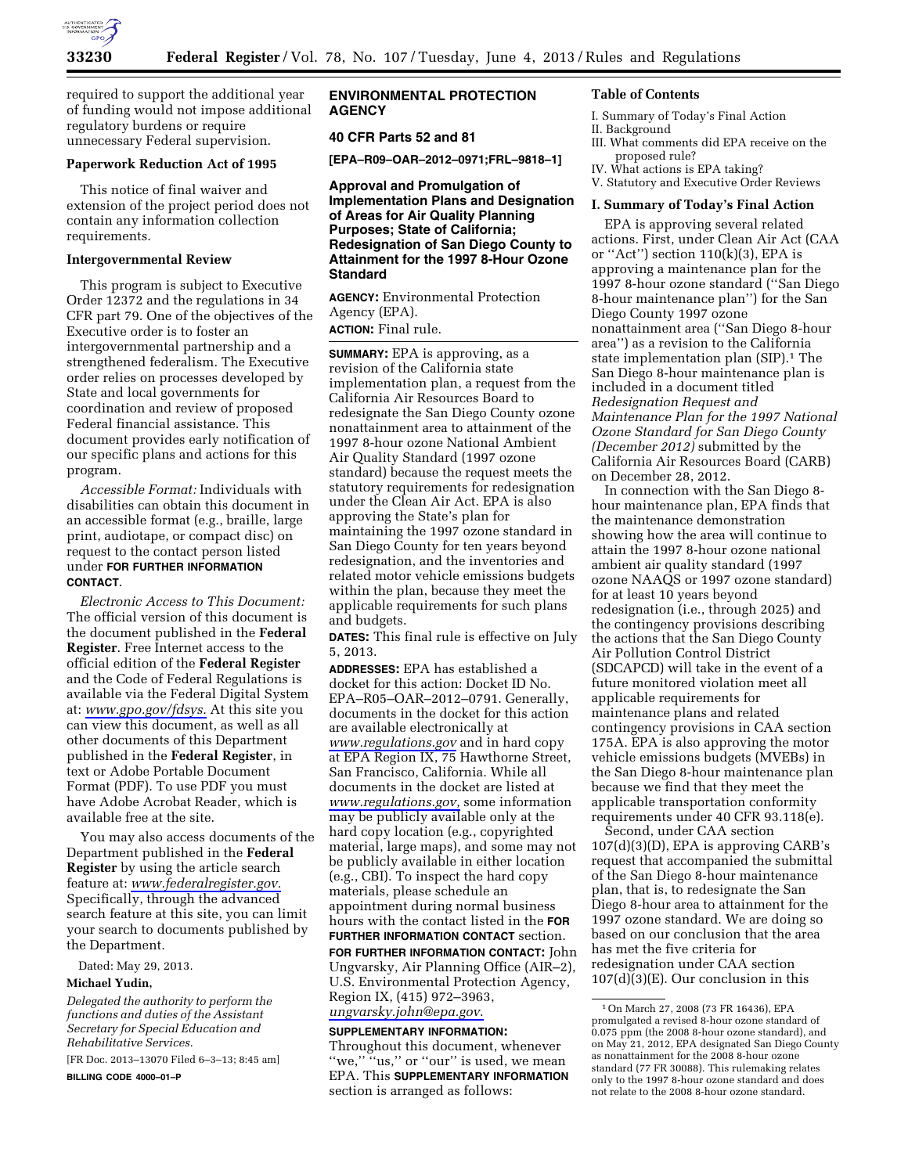

required to support the additional year of funding would not impose additional regulatory burdens or require unnecessary Federal supervision.

#### **Paperwork Reduction Act of 1995**

This notice of final waiver and extension of the project period does not contain any information collection requirements.

#### **Intergovernmental Review**

This program is subject to Executive Order 12372 and the regulations in 34 CFR part 79. One of the objectives of the Executive order is to foster an intergovernmental partnership and a strengthened federalism. The Executive order relies on processes developed by State and local governments for coordination and review of proposed Federal financial assistance. This document provides early notification of our specific plans and actions for this program.

*Accessible Format:* Individuals with disabilities can obtain this document in an accessible format (e.g., braille, large print, audiotape, or compact disc) on request to the contact person listed under **FOR FURTHER INFORMATION CONTACT**.

*Electronic Access to This Document:*  The official version of this document is the document published in the **Federal Register**. Free Internet access to the official edition of the **Federal Register**  and the Code of Federal Regulations is available via the Federal Digital System at: *[www.gpo.gov/fdsys.](http://www.gpo.gov/fdsys)* At this site you can view this document, as well as all other documents of this Department published in the **Federal Register**, in text or Adobe Portable Document Format (PDF). To use PDF you must have Adobe Acrobat Reader, which is available free at the site.

You may also access documents of the Department published in the **Federal Register** by using the article search feature at: *[www.federalregister.gov.](http://www.federalregister.gov)*  Specifically, through the advanced search feature at this site, you can limit your search to documents published by the Department.

Dated: May 29, 2013.

### **Michael Yudin,**

*Delegated the authority to perform the functions and duties of the Assistant Secretary for Special Education and Rehabilitative Services.* 

[FR Doc. 2013–13070 Filed 6–3–13; 8:45 am]

**BILLING CODE 4000–01–P** 

## **ENVIRONMENTAL PROTECTION AGENCY**

## **40 CFR Parts 52 and 81**

**[EPA–R09–OAR–2012–0971;FRL–9818–1]** 

**Approval and Promulgation of Implementation Plans and Designation of Areas for Air Quality Planning Purposes; State of California; Redesignation of San Diego County to Attainment for the 1997 8-Hour Ozone Standard** 

**AGENCY:** Environmental Protection Agency (EPA). **ACTION:** Final rule.

**SUMMARY:** EPA is approving, as a revision of the California state implementation plan, a request from the California Air Resources Board to redesignate the San Diego County ozone nonattainment area to attainment of the 1997 8-hour ozone National Ambient Air Quality Standard (1997 ozone standard) because the request meets the statutory requirements for redesignation under the Clean Air Act. EPA is also approving the State's plan for maintaining the 1997 ozone standard in San Diego County for ten years beyond redesignation, and the inventories and related motor vehicle emissions budgets within the plan, because they meet the applicable requirements for such plans and budgets.

**DATES:** This final rule is effective on July 5, 2013.

**ADDRESSES:** EPA has established a docket for this action: Docket ID No. EPA–R05–OAR–2012–0791. Generally, documents in the docket for this action are available electronically at *[www.regulations.gov](http://www.regulations.gov)* and in hard copy at EPA Region IX, 75 Hawthorne Street, San Francisco, California. While all documents in the docket are listed at *[www.regulations.gov,](http://www.regulations.gov)* some information may be publicly available only at the hard copy location (e.g., copyrighted material, large maps), and some may not be publicly available in either location (e.g., CBI). To inspect the hard copy materials, please schedule an appointment during normal business hours with the contact listed in the **FOR FURTHER INFORMATION CONTACT** section.

**FOR FURTHER INFORMATION CONTACT:** John Ungvarsky, Air Planning Office (AIR–2), U.S. Environmental Protection Agency, Region IX, (415) 972–3963, *[ungvarsky.john@epa.gov](mailto:ungvarsky.john@epa.gov)*.

#### **SUPPLEMENTARY INFORMATION:**

Throughout this document, whenever "we," "us," or "our" is used, we mean EPA. This **SUPPLEMENTARY INFORMATION** section is arranged as follows:

#### **Table of Contents**

I. Summary of Today's Final Action

- II. Background
- III. What comments did EPA receive on the proposed rule?
- IV. What actions is EPA taking?
- V. Statutory and Executive Order Reviews

#### **I. Summary of Today's Final Action**

EPA is approving several related actions. First, under Clean Air Act (CAA or "Act") section  $110(k)(3)$ , EPA is approving a maintenance plan for the 1997 8-hour ozone standard (''San Diego 8-hour maintenance plan'') for the San Diego County 1997 ozone nonattainment area (''San Diego 8-hour area'') as a revision to the California state implementation plan (SIP).<sup>1</sup> The San Diego 8-hour maintenance plan is included in a document titled *Redesignation Request and Maintenance Plan for the 1997 National Ozone Standard for San Diego County (December 2012)* submitted by the California Air Resources Board (CARB) on December 28, 2012.

In connection with the San Diego 8 hour maintenance plan, EPA finds that the maintenance demonstration showing how the area will continue to attain the 1997 8-hour ozone national ambient air quality standard (1997 ozone NAAQS or 1997 ozone standard) for at least 10 years beyond redesignation (i.e., through 2025) and the contingency provisions describing the actions that the San Diego County Air Pollution Control District (SDCAPCD) will take in the event of a future monitored violation meet all applicable requirements for maintenance plans and related contingency provisions in CAA section 175A. EPA is also approving the motor vehicle emissions budgets (MVEBs) in the San Diego 8-hour maintenance plan because we find that they meet the applicable transportation conformity requirements under 40 CFR 93.118(e).

Second, under CAA section 107(d)(3)(D), EPA is approving CARB's request that accompanied the submittal of the San Diego 8-hour maintenance plan, that is, to redesignate the San Diego 8-hour area to attainment for the 1997 ozone standard. We are doing so based on our conclusion that the area has met the five criteria for redesignation under CAA section 107(d)(3)(E). Our conclusion in this

<sup>1</sup>On March 27, 2008 (73 FR 16436), EPA promulgated a revised 8-hour ozone standard of 0.075 ppm (the 2008 8-hour ozone standard), and on May 21, 2012, EPA designated San Diego County as nonattainment for the 2008 8-hour ozone standard (77 FR 30088). This rulemaking relates only to the 1997 8-hour ozone standard and does not relate to the 2008 8-hour ozone standard.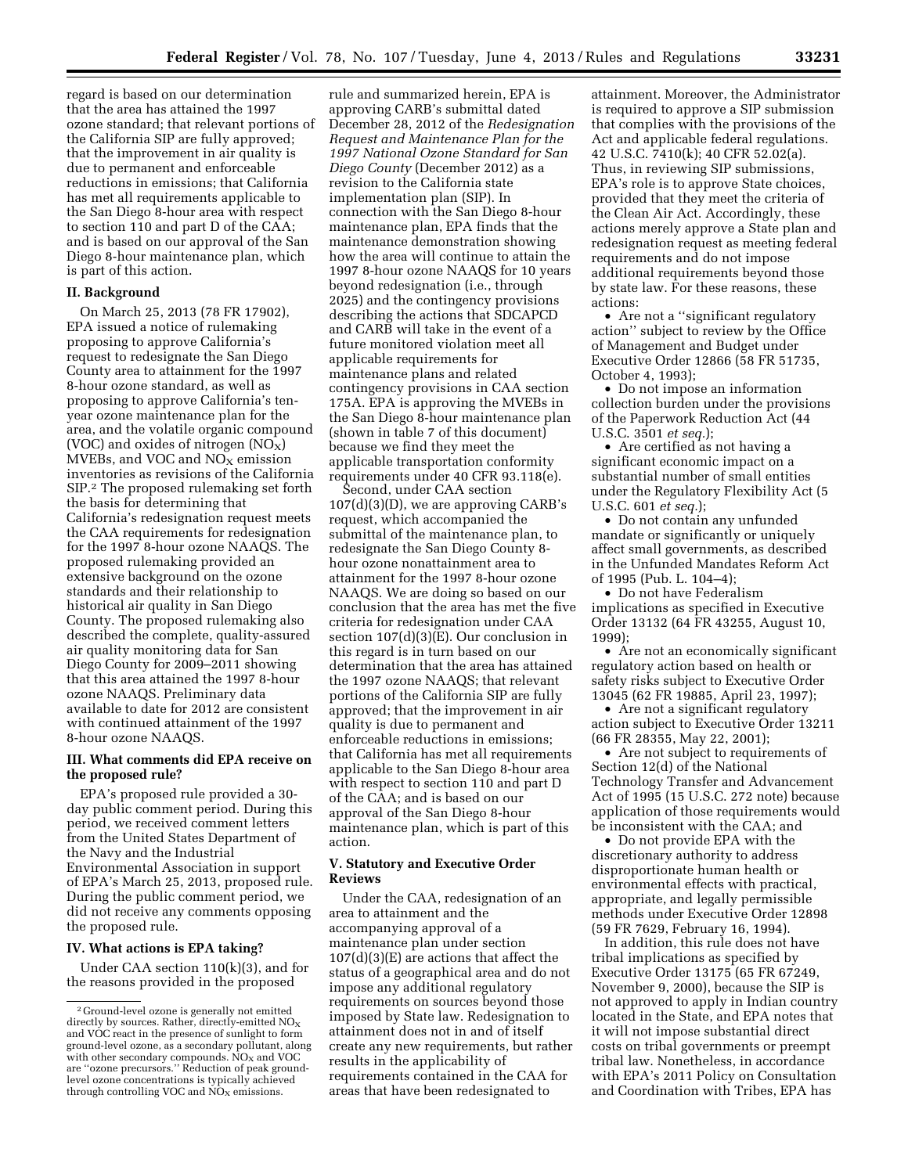regard is based on our determination that the area has attained the 1997 ozone standard; that relevant portions of the California SIP are fully approved; that the improvement in air quality is due to permanent and enforceable reductions in emissions; that California has met all requirements applicable to the San Diego 8-hour area with respect to section 110 and part D of the CAA; and is based on our approval of the San Diego 8-hour maintenance plan, which is part of this action.

## **II. Background**

On March 25, 2013 (78 FR 17902), EPA issued a notice of rulemaking proposing to approve California's request to redesignate the San Diego County area to attainment for the 1997 8-hour ozone standard, as well as proposing to approve California's tenyear ozone maintenance plan for the area, and the volatile organic compound (VOC) and oxides of nitrogen  $(NO<sub>X</sub>)$ MVEBs, and VOC and  $NO<sub>X</sub>$  emission inventories as revisions of the California SIP.2 The proposed rulemaking set forth the basis for determining that California's redesignation request meets the CAA requirements for redesignation for the 1997 8-hour ozone NAAQS. The proposed rulemaking provided an extensive background on the ozone standards and their relationship to historical air quality in San Diego County. The proposed rulemaking also described the complete, quality-assured air quality monitoring data for San Diego County for 2009–2011 showing that this area attained the 1997 8-hour ozone NAAQS. Preliminary data available to date for 2012 are consistent with continued attainment of the 1997 8-hour ozone NAAQS.

### **III. What comments did EPA receive on the proposed rule?**

EPA's proposed rule provided a 30 day public comment period. During this period, we received comment letters from the United States Department of the Navy and the Industrial Environmental Association in support of EPA's March 25, 2013, proposed rule. During the public comment period, we did not receive any comments opposing the proposed rule.

## **IV. What actions is EPA taking?**

Under CAA section 110(k)(3), and for the reasons provided in the proposed

rule and summarized herein, EPA is approving CARB's submittal dated December 28, 2012 of the *Redesignation Request and Maintenance Plan for the 1997 National Ozone Standard for San Diego County* (December 2012) as a revision to the California state implementation plan (SIP). In connection with the San Diego 8-hour maintenance plan, EPA finds that the maintenance demonstration showing how the area will continue to attain the 1997 8-hour ozone NAAQS for 10 years beyond redesignation (i.e., through 2025) and the contingency provisions describing the actions that SDCAPCD and CARB will take in the event of a future monitored violation meet all applicable requirements for maintenance plans and related contingency provisions in CAA section 175A. EPA is approving the MVEBs in the San Diego 8-hour maintenance plan (shown in table 7 of this document) because we find they meet the applicable transportation conformity requirements under 40 CFR 93.118(e).

Second, under CAA section 107(d)(3)(D), we are approving CARB's request, which accompanied the submittal of the maintenance plan, to redesignate the San Diego County 8 hour ozone nonattainment area to attainment for the 1997 8-hour ozone NAAQS. We are doing so based on our conclusion that the area has met the five criteria for redesignation under CAA section 107(d)(3)(E). Our conclusion in this regard is in turn based on our determination that the area has attained the 1997 ozone NAAQS; that relevant portions of the California SIP are fully approved; that the improvement in air quality is due to permanent and enforceable reductions in emissions; that California has met all requirements applicable to the San Diego 8-hour area with respect to section 110 and part D of the CAA; and is based on our approval of the San Diego 8-hour maintenance plan, which is part of this action.

### **V. Statutory and Executive Order Reviews**

Under the CAA, redesignation of an area to attainment and the accompanying approval of a maintenance plan under section 107(d)(3)(E) are actions that affect the status of a geographical area and do not impose any additional regulatory requirements on sources beyond those imposed by State law. Redesignation to attainment does not in and of itself create any new requirements, but rather results in the applicability of requirements contained in the CAA for areas that have been redesignated to

attainment. Moreover, the Administrator is required to approve a SIP submission that complies with the provisions of the Act and applicable federal regulations. 42 U.S.C. 7410(k); 40 CFR 52.02(a). Thus, in reviewing SIP submissions, EPA's role is to approve State choices, provided that they meet the criteria of the Clean Air Act. Accordingly, these actions merely approve a State plan and redesignation request as meeting federal requirements and do not impose additional requirements beyond those by state law. For these reasons, these actions:

• Are not a ''significant regulatory action'' subject to review by the Office of Management and Budget under Executive Order 12866 (58 FR 51735, October 4, 1993);

• Do not impose an information collection burden under the provisions of the Paperwork Reduction Act (44 U.S.C. 3501 *et seq.*);

• Are certified as not having a significant economic impact on a substantial number of small entities under the Regulatory Flexibility Act (5 U.S.C. 601 *et seq.*);

• Do not contain any unfunded mandate or significantly or uniquely affect small governments, as described in the Unfunded Mandates Reform Act of 1995 (Pub. L. 104–4);

• Do not have Federalism implications as specified in Executive Order 13132 (64 FR 43255, August 10, 1999);

• Are not an economically significant regulatory action based on health or safety risks subject to Executive Order 13045 (62 FR 19885, April 23, 1997);

• Are not a significant regulatory action subject to Executive Order 13211 (66 FR 28355, May 22, 2001);

• Are not subject to requirements of Section 12(d) of the National Technology Transfer and Advancement Act of 1995 (15 U.S.C. 272 note) because application of those requirements would be inconsistent with the CAA; and

• Do not provide EPA with the discretionary authority to address disproportionate human health or environmental effects with practical, appropriate, and legally permissible methods under Executive Order 12898 (59 FR 7629, February 16, 1994).

In addition, this rule does not have tribal implications as specified by Executive Order 13175 (65 FR 67249, November 9, 2000), because the SIP is not approved to apply in Indian country located in the State, and EPA notes that it will not impose substantial direct costs on tribal governments or preempt tribal law. Nonetheless, in accordance with EPA's 2011 Policy on Consultation and Coordination with Tribes, EPA has

<sup>2</sup> Ground-level ozone is generally not emitted directly by sources. Rather, directly-emitted  $NO<sub>x</sub>$ and VOC react in the presence of sunlight to form ground-level ozone, as a secondary pollutant, along<br>with other secondary compounds. NO<sub>x</sub> and VOC are ''ozone precursors.'' Reduction of peak groundlevel ozone concentrations is typically achieved through controlling VOC and  $\overrightarrow{NO}_X$  emissions.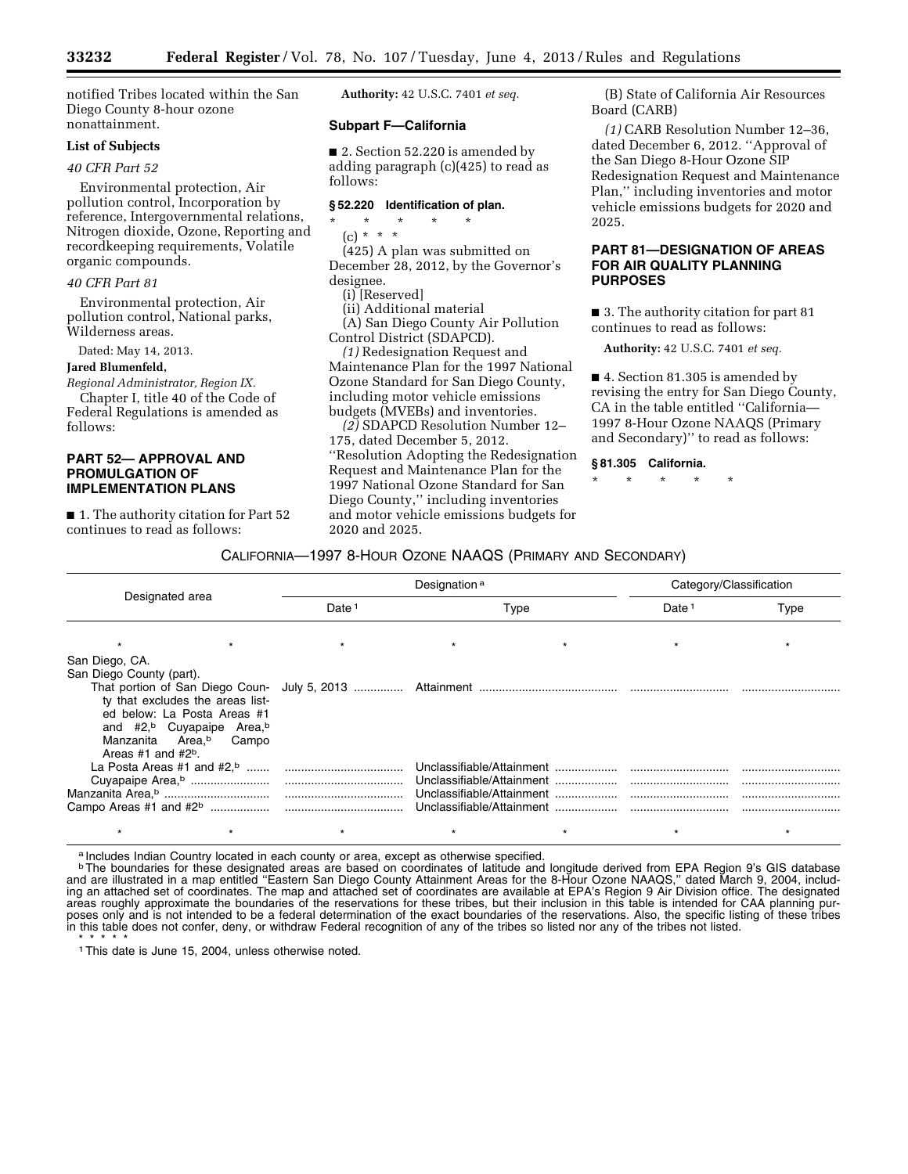notified Tribes located within the San Diego County 8-hour ozone nonattainment.

# **List of Subjects**

# *40 CFR Part 52*

Environmental protection, Air pollution control, Incorporation by reference, Intergovernmental relations, Nitrogen dioxide, Ozone, Reporting and recordkeeping requirements, Volatile organic compounds.

### *40 CFR Part 81*

Environmental protection, Air pollution control, National parks, Wilderness areas.

Dated: May 14, 2013.

#### **Jared Blumenfeld,**

#### *Regional Administrator, Region IX.*

Chapter I, title 40 of the Code of Federal Regulations is amended as follows:

## **PART 52— APPROVAL AND PROMULGATION OF IMPLEMENTATION PLANS**

■ 1. The authority citation for Part 52 continues to read as follows:

**Authority:** 42 U.S.C. 7401 *et seq.* 

#### **Subpart F—California**

■ 2. Section 52.220 is amended by adding paragraph (c)(425) to read as follows:

#### **§ 52.220 Identification of plan.**

#### \* \* \* \* \*

(c) \* \* \*

(425) A plan was submitted on December 28, 2012, by the Governor's designee.

(i) [Reserved]

(ii) Additional material

(A) San Diego County Air Pollution Control District (SDAPCD).

*(1)* Redesignation Request and Maintenance Plan for the 1997 National Ozone Standard for San Diego County, including motor vehicle emissions budgets (MVEBs) and inventories.

*(2)* SDAPCD Resolution Number 12– 175, dated December 5, 2012. ''Resolution Adopting the Redesignation Request and Maintenance Plan for the 1997 National Ozone Standard for San Diego County,'' including inventories and motor vehicle emissions budgets for 2020 and 2025.

(B) State of California Air Resources Board (CARB)

*(1)* CARB Resolution Number 12–36, dated December 6, 2012. ''Approval of the San Diego 8-Hour Ozone SIP Redesignation Request and Maintenance Plan,'' including inventories and motor vehicle emissions budgets for 2020 and 2025.

## **PART 81—DESIGNATION OF AREAS FOR AIR QUALITY PLANNING PURPOSES**

■ 3. The authority citation for part 81 continues to read as follows:

**Authority:** 42 U.S.C. 7401 *et seq.* 

■ 4. Section 81.305 is amended by revising the entry for San Diego County, CA in the table entitled ''California— 1997 8-Hour Ozone NAAQS (Primary and Secondary)'' to read as follows:

#### **§ 81.305 California.**

\* \* \* \* \*

### CALIFORNIA—1997 8-HOUR OZONE NAAQS (PRIMARY AND SECONDARY)

| Designated area                                                                                                                                                                                                 | Designation <sup>a</sup> |      |  | Category/Classification |      |
|-----------------------------------------------------------------------------------------------------------------------------------------------------------------------------------------------------------------|--------------------------|------|--|-------------------------|------|
|                                                                                                                                                                                                                 | Date <sup>1</sup>        | Type |  | Date <sup>1</sup>       | Type |
|                                                                                                                                                                                                                 |                          |      |  |                         |      |
| San Diego, CA.                                                                                                                                                                                                  |                          |      |  |                         |      |
| San Diego County (part).<br>ty that excludes the areas list-<br>ed below: La Posta Areas #1<br>and #2, <sup>b</sup> Cuyapaipe Area, <sup>b</sup><br>Manzanita Area, <sup>b</sup> Campo<br>Areas #1 and $#2^b$ . |                          |      |  |                         |      |
|                                                                                                                                                                                                                 |                          |      |  |                         |      |
|                                                                                                                                                                                                                 |                          |      |  |                         |      |
|                                                                                                                                                                                                                 |                          |      |  |                         |      |
|                                                                                                                                                                                                                 |                          |      |  |                         |      |
|                                                                                                                                                                                                                 |                          |      |  |                         |      |

a Includes Indian Country located in each county or area, except as otherwise specified.

**bThe boundaries for these designated areas are based on coordinates of latitude and longitude derived from EPA Region 9's GIS database** and are illustrated in a map entitled ''Eastern San Diego County Attainment Areas for the 8-Hour Ozone NAAQS,'' dated March 9, 2004, including an attached set of coordinates. The map and attached set of coordinates are available at EPA's Region 9 Air Division office. The designated areas roughly approximate the boundaries of the reservations for these tribes, but their inclusion in this table is intended for CAA planning purposes only and is not intended to be a federal determination of the exact boundaries of the reservations. Also, the specific listing of these tribes in this table does not confer, deny, or withdraw Federal recognition of any of the tribes so listed nor any of the tribes not listed.

\* \* \* \* \* 1This date is June 15, 2004, unless otherwise noted.